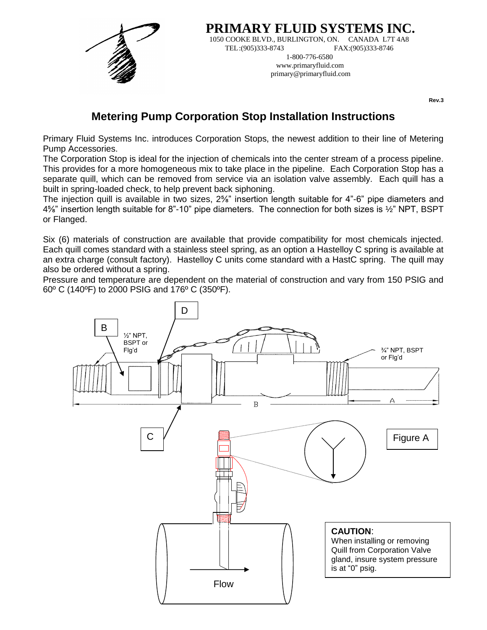

**PRIMARY FLUID SYSTEMS INC.** 1050 COOKE BLVD., BURLINGTON, ON. CANADA L7T 4A8 TEL:(905)333-8743 FAX:(905)333-8746 1-800-776-6580 www.primaryfluid.com

primary@primaryfluid.com

**Rev.3**

# **Metering Pump Corporation Stop Installation Instructions**

Primary Fluid Systems Inc. introduces Corporation Stops, the newest addition to their line of Metering Pump Accessories.

The Corporation Stop is ideal for the injection of chemicals into the center stream of a process pipeline. This provides for a more homogeneous mix to take place in the pipeline. Each Corporation Stop has a separate quill, which can be removed from service via an isolation valve assembly. Each quill has a built in spring-loaded check, to help prevent back siphoning.

The injection quill is available in two sizes, 2<sup>5</sup>/<sub>8</sub>" insertion length suitable for 4"-6" pipe diameters and 4⅝" insertion length suitable for 8"-10" pipe diameters. The connection for both sizes is ½" NPT, BSPT or Flanged.

Six (6) materials of construction are available that provide compatibility for most chemicals injected. Each quill comes standard with a stainless steel spring, as an option a Hastelloy C spring is available at an extra charge (consult factory). Hastelloy C units come standard with a HastC spring. The quill may also be ordered without a spring.

Pressure and temperature are dependent on the material of construction and vary from 150 PSIG and 60º C (140ºF) to 2000 PSIG and 176º C (350ºF).

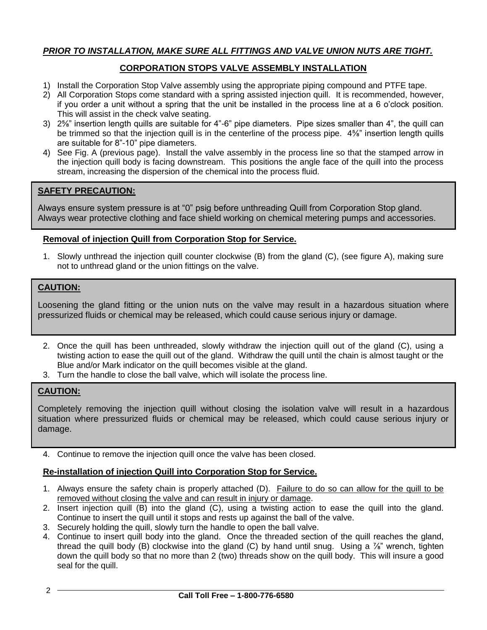# *PRIOR TO INSTALLATION, MAKE SURE ALL FITTINGS AND VALVE UNION NUTS ARE TIGHT.*

# **CORPORATION STOPS VALVE ASSEMBLY INSTALLATION**

- 1) Install the Corporation Stop Valve assembly using the appropriate piping compound and PTFE tape.
- 2) All Corporation Stops come standard with a spring assisted injection quill. It is recommended, however, if you order a unit without a spring that the unit be installed in the process line at a 6 o'clock position. This will assist in the check valve seating.
- 3) 2⅝" insertion length quills are suitable for 4"-6" pipe diameters. Pipe sizes smaller than 4", the quill can be trimmed so that the injection quill is in the centerline of the process pipe. 4<sup>5</sup>/<sub>8</sub>" insertion length quills are suitable for 8"-10" pipe diameters.
- 4) See Fig. A (previous page). Install the valve assembly in the process line so that the stamped arrow in the injection quill body is facing downstream. This positions the angle face of the quill into the process stream, increasing the dispersion of the chemical into the process fluid.

# **SAFETY PRECAUTION:**

Always ensure system pressure is at "0" psig before unthreading Quill from Corporation Stop gland. Always wear protective clothing and face shield working on chemical metering pumps and accessories.

#### **Removal of injection Quill from Corporation Stop for Service.**

1. Slowly unthread the injection quill counter clockwise (B) from the gland (C), (see figure A), making sure not to unthread gland or the union fittings on the valve.

#### **CAUTION:**

Loosening the gland fitting or the union nuts on the valve may result in a hazardous situation where pressurized fluids or chemical may be released, which could cause serious injury or damage.

- 2. Once the quill has been unthreaded, slowly withdraw the injection quill out of the gland (C), using a twisting action to ease the quill out of the gland. Withdraw the quill until the chain is almost taught or the Blue and/or Mark indicator on the quill becomes visible at the gland.
- 3. Turn the handle to close the ball valve, which will isolate the process line.

# **CAUTION:**

Completely removing the injection quill without closing the isolation valve will result in a hazardous situation where pressurized fluids or chemical may be released, which could cause serious injury or damage.

4. Continue to remove the injection quill once the valve has been closed.

# **Re-installation of injection Quill into Corporation Stop for Service.**

- 1. Always ensure the safety chain is properly attached (D). Failure to do so can allow for the quill to be removed without closing the valve and can result in injury or damage.
- 2. Insert injection quill (B) into the gland (C), using a twisting action to ease the quill into the gland. Continue to insert the quill until it stops and rests up against the ball of the valve.
- 3. Securely holding the quill, slowly turn the handle to open the ball valve.
- 4. Continue to insert quill body into the gland. Once the threaded section of the quill reaches the gland, thread the quill body (B) clockwise into the gland (C) by hand until snug. Using a  $\frac{7}{8}$ " wrench, tighten down the quill body so that no more than 2 (two) threads show on the quill body. This will insure a good seal for the quill.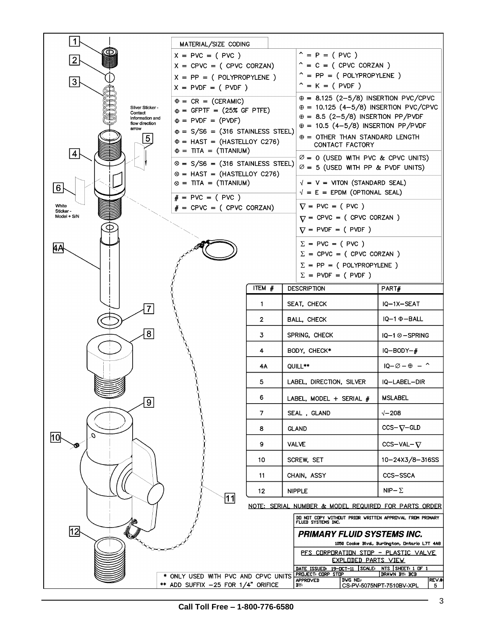